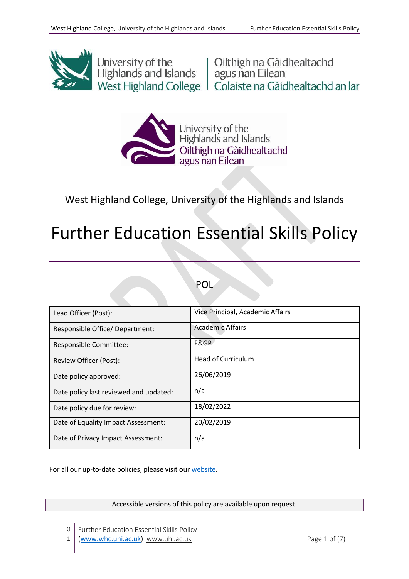

University of the University of the University of the Highlands and Islands agus nan Eilean<br>
West Highland College | Colaiste na Gàidhealtachd an Iar



West Highland College, University of the Highlands and Islands

# Further Education Essential Skills Policy

## POL

| Lead Officer (Post):                   | Vice Principal, Academic Affairs |
|----------------------------------------|----------------------------------|
| Responsible Office/Department:         | <b>Academic Affairs</b>          |
| Responsible Committee:                 | F&GP                             |
| Review Officer (Post):                 | <b>Head of Curriculum</b>        |
| Date policy approved:                  | 26/06/2019                       |
| Date policy last reviewed and updated: | n/a                              |
| Date policy due for review:            | 18/02/2022                       |
| Date of Equality Impact Assessment:    | 20/02/2019                       |
| Date of Privacy Impact Assessment:     | n/a                              |

For all our up-to-date policies, please visit our [website.](https://www.whc.uhi.ac.uk/)

Accessible versions of this policy are available upon request.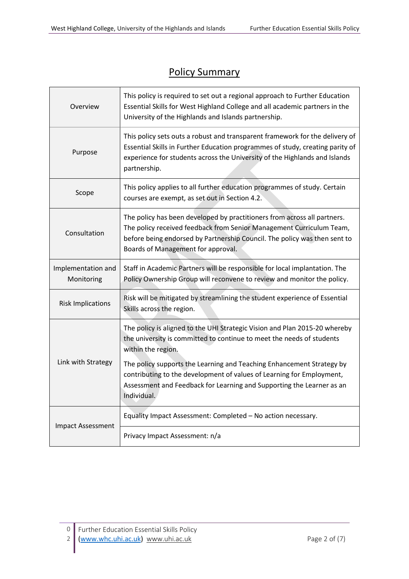$\overline{\phantom{0}}$ 

# Policy Summary

| Overview                         | This policy is required to set out a regional approach to Further Education<br>Essential Skills for West Highland College and all academic partners in the<br>University of the Highlands and Islands partnership.                                                  |  |  |
|----------------------------------|---------------------------------------------------------------------------------------------------------------------------------------------------------------------------------------------------------------------------------------------------------------------|--|--|
| Purpose                          | This policy sets outs a robust and transparent framework for the delivery of<br>Essential Skills in Further Education programmes of study, creating parity of<br>experience for students across the University of the Highlands and Islands<br>partnership.         |  |  |
| Scope                            | This policy applies to all further education programmes of study. Certain<br>courses are exempt, as set out in Section 4.2.                                                                                                                                         |  |  |
| Consultation                     | The policy has been developed by practitioners from across all partners.<br>The policy received feedback from Senior Management Curriculum Team,<br>before being endorsed by Partnership Council. The policy was then sent to<br>Boards of Management for approval. |  |  |
| Implementation and<br>Monitoring | Staff in Academic Partners will be responsible for local implantation. The<br>Policy Ownership Group will reconvene to review and monitor the policy.                                                                                                               |  |  |
| <b>Risk Implications</b>         | Risk will be mitigated by streamlining the student experience of Essential<br>Skills across the region.                                                                                                                                                             |  |  |
| Link with Strategy               | The policy is aligned to the UHI Strategic Vision and Plan 2015-20 whereby<br>the university is committed to continue to meet the needs of students<br>within the region.<br>The policy supports the Learning and Teaching Enhancement Strategy by                  |  |  |
|                                  | contributing to the development of values of Learning for Employment,<br>Assessment and Feedback for Learning and Supporting the Learner as an<br>Individual.                                                                                                       |  |  |
| <b>Impact Assessment</b>         | Equality Impact Assessment: Completed - No action necessary.                                                                                                                                                                                                        |  |  |
|                                  | Privacy Impact Assessment: n/a                                                                                                                                                                                                                                      |  |  |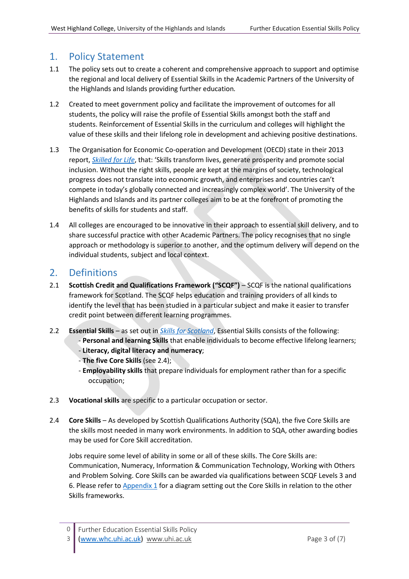## 1. Policy Statement

- 1.1 The policy sets out to create a coherent and comprehensive approach to support and optimise the regional and local delivery of Essential Skills in the Academic Partners of the University of the Highlands and Islands providing further education*.*
- 1.2 Created to meet government policy and facilitate the improvement of outcomes for all students, the policy will raise the profile of Essential Skills amongst both the staff and students. Reinforcement of Essential Skills in the curriculum and colleges will highlight the value of these skills and their lifelong role in development and achieving positive destinations.
- 1.3 The Organisation for Economic Co-operation and Development (OECD) state in their 2013 report, *[Skilled for Life](http://www.oecd.org/skills/piaac/SkillsOutlook_2013_ebook.pdf)*, that: 'Skills transform lives, generate prosperity and promote social inclusion. Without the right skills, people are kept at the margins of society, technological progress does not translate into economic growth, and enterprises and countries can't compete in today's globally connected and increasingly complex world'. The University of the Highlands and Islands and its partner colleges aim to be at the forefront of promoting the benefits of skills for students and staff.
- 1.4 All colleges are encouraged to be innovative in their approach to essential skill delivery, and to share successful practice with other Academic Partners. The policy recognises that no single approach or methodology is superior to another, and the optimum delivery will depend on the individual students, subject and local context.

## 2. Definitions

- 2.1 **Scottish Credit and Qualifications Framework ("SCQF")** SCQF is the national qualifications framework for Scotland. The SCQF helps education and training providers of all kinds to identify the level that has been studied in a particular subject and make it easier to transfer credit point between different learning programmes.
- 2.2 **Essential Skills** as set out in *[Skills for Scotland](https://www.gov.scot/Publications/2007/09/06091114/14)*, Essential Skills consists of the following:
	- **Personal and learning Skills** that enable individuals to become effective lifelong learners;
	- **Literacy, digital literacy and numeracy**;
	- **The five Core Skills** (see 2.4);
	- **Employability skills** that prepare individuals for employment rather than for a specific occupation;
- 2.3 **Vocational skills** are specific to a particular occupation or sector.
- 2.4 **Core Skills** As developed by Scottish Qualifications Authority (SQA), the five Core Skills are the skills most needed in many work environments. In addition to SQA, other awarding bodies may be used for Core Skill accreditation.

Jobs require some level of ability in some or all of these skills. The Core Skills are: Communication, Numeracy, Information & Communication Technology, Working with Others and Problem Solving. Core Skills can be awarded via qualifications between SCQF Levels 3 and 6. Please refer to [Appendix 1](https://myuhi.sharepoint.com/sites/eo-fespe/Core%20Skills%20Policy%20Ownership%20Group/CoreSkillsPolicy-Appendix1.vsdx?d=w22bfa9aeb97d4d4baa2b4362c7c12c20) for a diagram setting out the Core Skills in relation to the other Skills frameworks.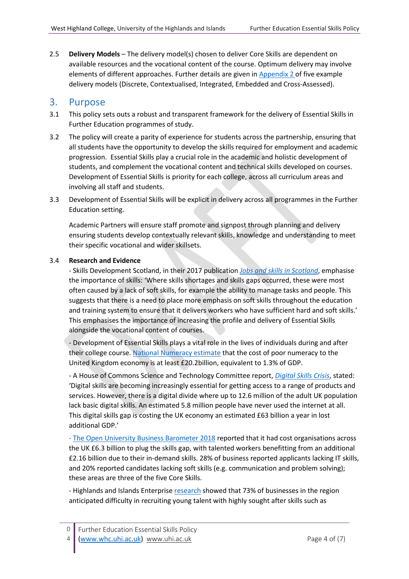2.5 **Delivery Models** – The delivery model(s) chosen to deliver Core Skills are dependent on available resources and the vocational content of the course. Optimum delivery may involve elements of different approaches. Further details are given in [Appendix 2](https://myuhi.sharepoint.com/sites/eo-fespe/Core%20Skills%20Policy%20Ownership%20Group/CoreSkillsPolicy-Appendix2.vsdx?d=w6f830b934fec4a43a60659258cd23852) of five example delivery models (Discrete, Contextualised, Integrated, Embedded and Cross-Assessed).

#### 3. Purpose

- 3.1 This policy sets outs a robust and transparent framework for the delivery of Essential Skills in Further Education programmes of study.
- 3.2 The policy will create a parity of experience for students across the partnership, ensuring that all students have the opportunity to develop the skills required for employment and academic progression. Essential Skills play a crucial role in the academic and holistic development of students, and complement the vocational content and technical skills developed on courses. Development of Essential Skills is priority for each college, across all curriculum areas and involving all staff and students.
- 3.3 Development of Essential Skills will be explicit in delivery across all programmes in the Further Education setting.

Academic Partners will ensure staff promote and signpost through planning and delivery ensuring students develop contextually relevant skills, knowledge and understanding to meet their specific vocational and wider skillsets.

#### 3.4 **Research and Evidence**

- Skills Development Scotland, in their 2017 publication *[Jobs and skills in Scotland](https://www.skillsdevelopmentscotland.co.uk/media/43852/jobs-and-skills-in-scotland-2017-main-report.pdf)*, emphasise the importance of skills: 'Where skills shortages and skills gaps occurred, these were most often caused by a lack of soft skills, for example the ability to manage tasks and people. This suggests that there is a need to place more emphasis on soft skills throughout the education and training system to ensure that it delivers workers who have sufficient hard and soft skills.' This emphasises the importance of increasing the profile and delivery of Essential Skills alongside the vocational content of courses.

- Development of Essential Skills plays a vital role in the lives of individuals during and after their college course. [National Numeracy estimate](https://www.nationalnumeracy.org.uk/cost-outcomes-associated-low-levels-adult-numeracy-uk-2014) that the cost of poor numeracy to the United Kingdom economy is at least £20.2billion, equivalent to 1.3% of GDP.

- A House of Commons Science and Technology Committee report, *[Digital Skills Crisis](https://publications.parliament.uk/pa/cm201617/cmselect/cmsctech/270/270.pdf)*, stated: 'Digital skills are becoming increasingly essential for getting access to a range of products and services. However, there is a digital divide where up to 12.6 million of the adult UK population lack basic digital skills. An estimated 5.8 million people have never used the internet at all. This digital skills gap is costing the UK economy an estimated £63 billion a year in lost additional GDP.'

- [The Open University Business Barometer 2018](https://ounews.co/business-law/business/new-ou-report-reveals-financial-cost-of-the-skills-shortage/) reported that it had cost organisations across the UK £6.3 billion to plug the skills gap, with talented workers benefitting from an additional £2.16 billion due to their in-demand skills. 28% of business reported applicants lacking IT skills, and 20% reported candidates lacking soft skills (e.g. communication and problem solving); these areas are three of the five Core Skills.

- Highlands and Islands Enterprise [research](http://www.hie.co.uk/regional-information/economic-reports-and-research/archive/hie-business-panel-survey---workforce--skills-and-young-talent.html) showed that 73% of businesses in the region anticipated difficulty in recruiting young talent with highly sought after skills such as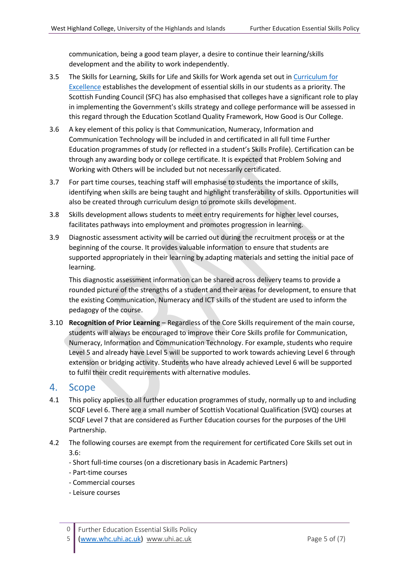communication, being a good team player, a desire to continue their learning/skills development and the ability to work independently.

- 3.5 The Skills for Learning, Skills for Life and Skills for Work agenda set out in Curriculum for [Excellence](https://education.gov.scot/scottish-education-system/policy-for-scottish-education/policy-drivers/cfe-(building-from-the-statement-appendix-incl-btc1-5)/What%20is%20Curriculum%20for%20Excellence?) establishes the development of essential skills in our students as a priority. The Scottish Funding Council (SFC) has also emphasised that [colleges have a significant role to play](http://www.sfc.ac.uk/web/FILES/GUI_SFCGD212016_CollegeOAGuidance1718/SFCGD212016_College_Outcome_Agreement_Guidance_2017-18.pdf) in implementing the Government's skills strategy and college performance will be assessed in this regard through the Education Scotland Quality Framework, How Good is Our College.
- 3.6 A key element of this policy is that Communication, Numeracy, Information and Communication Technology will be included in and certificated in all full time Further Education programmes of study (or reflected in a student's Skills Profile). Certification can be through any awarding body or college certificate. It is expected that Problem Solving and Working with Others will be included but not necessarily certificated.
- 3.7 For part time courses, teaching staff will emphasise to students the importance of skills, identifying when skills are being taught and highlight transferability of skills. Opportunities will also be created through curriculum design to promote skills development.
- 3.8 Skills development allows students to meet entry requirements for higher level courses, facilitates pathways into employment and promotes progression in learning.
- 3.9 Diagnostic assessment activity will be carried out during the recruitment process or at the beginning of the course. It provides valuable information to ensure that students are supported appropriately in their learning by adapting materials and setting the initial pace of learning.

This diagnostic assessment information can be shared across delivery teams to provide a rounded picture of the strengths of a student and their areas for development, to ensure that the existing Communication, Numeracy and ICT skills of the student are used to inform the pedagogy of the course.

3.10 **Recognition of Prior Learning** – Regardless of the Core Skills requirement of the main course, students will always be encouraged to improve their Core Skills profile for Communication, Numeracy, Information and Communication Technology. For example, students who require Level 5 and already have Level 5 will be supported to work towards achieving Level 6 through extension or bridging activity. Students who have already achieved Level 6 will be supported to fulfil their credit requirements with alternative modules.

#### 4. Scope

- 4.1 This policy applies to all further education programmes of study, normally up to and including SCQF Level 6. There are a small number of Scottish Vocational Qualification (SVQ) courses at SCQF Level 7 that are considered as Further Education courses for the purposes of the UHI Partnership.
- 4.2 The following courses are exempt from the requirement for certificated Core Skills set out in 3.6:
	- Short full-time courses (on a discretionary basis in Academic Partners)
	- Part-time courses
	- Commercial courses
	- Leisure courses

5 [\(www.whc.uhi.ac.uk\)](http://www.whc.uhi.ac.uk/) [www.uhi.ac.uk](http://www.uhi.ac.uk/) Page 5 of (7)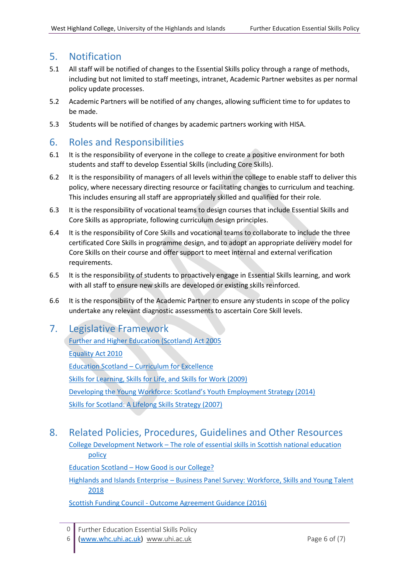## 5. Notification

- 5.1 All staff will be notified of changes to the Essential Skills policy through a range of methods, including but not limited to staff meetings, intranet, Academic Partner websites as per normal policy update processes.
- 5.2 Academic Partners will be notified of any changes, allowing sufficient time to for updates to be made.
- 5.3 Students will be notified of changes by academic partners working with HISA.

## 6. Roles and Responsibilities

- 6.1 It is the responsibility of everyone in the college to create a positive environment for both students and staff to develop Essential Skills (including Core Skills).
- 6.2 It is the responsibility of managers of all levels within the college to enable staff to deliver this policy, where necessary directing resource or facilitating changes to curriculum and teaching. This includes ensuring all staff are appropriately skilled and qualified for their role.
- 6.3 It is the responsibility of vocational teams to design courses that include Essential Skills and Core Skills as appropriate, following curriculum design principles.
- 6.4 It is the responsibility of Core Skills and vocational teams to collaborate to include the three certificated Core Skills in programme design, and to adopt an appropriate delivery model for Core Skills on their course and offer support to meet internal and external verification requirements.
- 6.5 It is the responsibility of students to proactively engage in Essential Skills learning, and work with all staff to ensure new skills are developed or existing skills reinforced.
- 6.6 It is the responsibility of the Academic Partner to ensure any students in scope of the policy undertake any relevant diagnostic assessments to ascertain Core Skill levels.

## 7. Legislative Framework

[Further and Higher Education \(Scotland\) Act 2005](https://www.legislation.gov.uk/asp/2005/6/contents) [Equality Act 2010](https://www.legislation.gov.uk/ukpga/2010/15/contents) Education Scotland – [Curriculum for Excellence](https://education.gov.scot/scottish-education-system/policy-for-scottish-education/policy-drivers/cfe-(building-from-the-statement-appendix-incl-btc1-5)/What%20is%20Curriculum%20for%20Excellence?) [Skills for Learning, Skills for Life, and Skills for Work \(2009\)](https://scqf.org.uk/media/1142/btc4_skills_tcm4-569141.pdf) [Developing the Young Workforce: Scotland's Youth Employment Strategy \(2014\)](http://www.gov.scot/Resource/0046/00466386.pdf) [Skills for Scotland: A Lifelong Skills Strategy \(2007\)](https://www.gov.scot/Publications/2007/09/06091114/14)

## 8. Related Policies, Procedures, Guidelines and Other Resources

College Development Network – [The role of essential skills in Scottish national education](http://www.collegedevelopmentnetwork.ac.uk/wp-content/uploads/2016/05/Role-of-Essential-Skills-final-report-v7.pdf)  [policy](http://www.collegedevelopmentnetwork.ac.uk/wp-content/uploads/2016/05/Role-of-Essential-Skills-final-report-v7.pdf)

Education Scotland – [How Good is our College?](https://education.gov.scot/improvement/documents/frwk18-how-good-is-our-college151216.pdf)

Highlands and Islands Enterprise – [Business Panel Survey: Workforce, Skills and Young Talent](http://www.hie.co.uk/regional-information/economic-reports-and-research/archive/hie-business-panel-survey---workforce--skills-and-young-talent.html) 2018

Scottish Funding Council - [Outcome Agreement Guidance \(2016\)](http://www.sfc.ac.uk/web/FILES/GUI_SFCGD212016_CollegeOAGuidance1718/SFCGD212016_College_Outcome_Agreement_Guidance_2017-18.pdf)